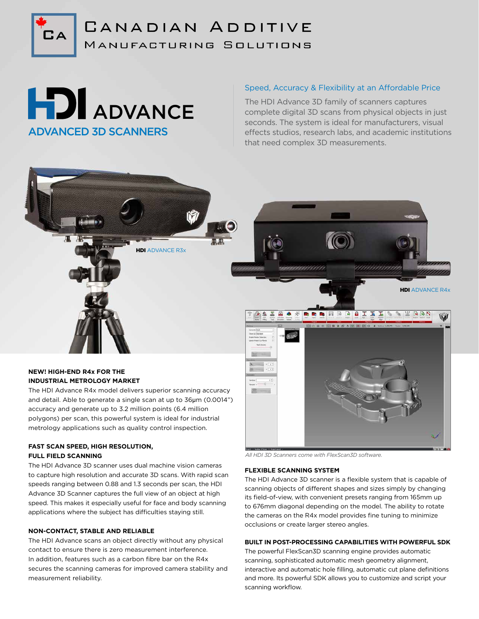

# CANADIAN ADDITIVE MANUFACTURING SOLUTIONS

# **HDI** ADVANCE ADVANCED 3D SCANNERS

# Speed, Accuracy & Flexibility at an Affordable Price

The HDI Advance 3D family of scanners captures complete digital 3D scans from physical objects in just seconds. The system is ideal for manufacturers, visual effects studios, research labs, and academic institutions that need complex 3D measurements.

### **NEW! HIGH-END R4x FOR THE INDUSTRIAL METROLOGY MARKET**

The HDI Advance R4x model delivers superior scanning accuracy and detail. Able to generate a single scan at up to 36µm (0.0014") accuracy and generate up to 3.2 million points (6.4 million polygons) per scan, this powerful system is ideal for industrial metrology applications such as quality control inspection.

**HDI** ADVANCE R3x

# **FAST SCAN SPEED, HIGH RESOLUTION, FULL FIELD SCANNING**

The HDI Advance 3D scanner uses dual machine vision cameras to capture high resolution and accurate 3D scans. With rapid scan speeds ranging between 0.88 and 1.3 seconds per scan, the HDI Advance 3D Scanner captures the full view of an object at high speed. This makes it especially useful for face and body scanning applications where the subject has difficulties staying still.

#### **NON-CONTACT, STABLE AND RELIABLE**

The HDI Advance scans an object directly without any physical contact to ensure there is zero measurement interference. In addition, features such as a carbon fibre bar on the R4x secures the scanning cameras for improved camera stability and measurement reliability.



*All HDI 3D Scanners come with FlexScan3D software.*

#### **FLEXIBLE SCANNING SYSTEM**

The HDI Advance 3D scanner is a flexible system that is capable of scanning objects of different shapes and sizes simply by changing its field-of-view, with convenient presets ranging from 165mm up to 676mm diagonal depending on the model. The ability to rotate the cameras on the R4x model provides fine tuning to minimize occlusions or create larger stereo angles.

#### **BUILT IN POST-PROCESSING CAPABILITIES WITH POWERFUL SDK**

The powerful FlexScan3D scanning engine provides automatic scanning, sophisticated automatic mesh geometry alignment, interactive and automatic hole filling, automatic cut plane definitions and more. Its powerful SDK allows you to customize and script your scanning workflow.